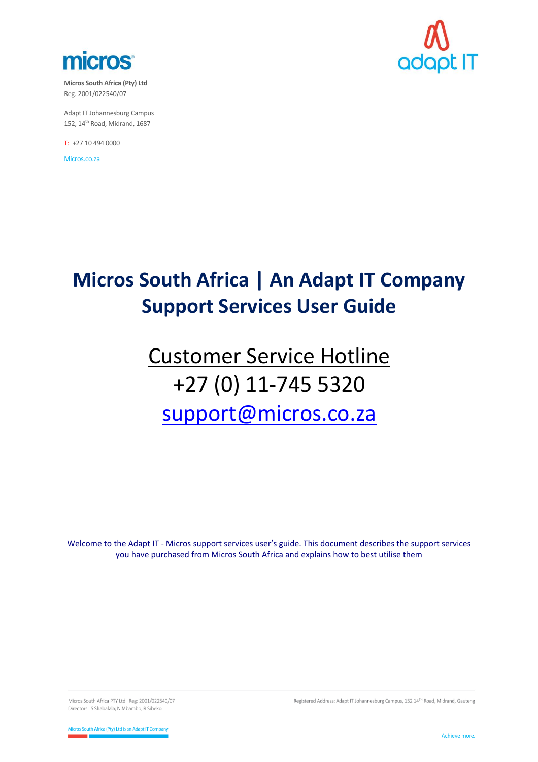

**Micros South Africa (Pty) Ltd** Reg. 2001/022540/07

Adapt IT Johannesburg Campus 152, 14<sup>th</sup> Road, Midrand, 1687

T: +27 10 494 0000

Micros.co.za



# **Micros South Africa | An Adapt IT Company Support Services User Guide**

# Customer Service Hotline +27 (0) 11-745 5320 [support@micros.co.za](mailto:support@micros.co.za)

Welcome to the Adapt IT - Micros support services user's guide. This document describes the support services you have purchased from Micros South Africa and explains how to best utilise them

Micros South Africa PTY Ltd Reg: 2001/022540/07 Directors: S Shabalala; N Mbambo; R Sibeko

Registered Address: Adapt IT Johannesburg Campus, 152 14TH Road, Midrand, Gauteng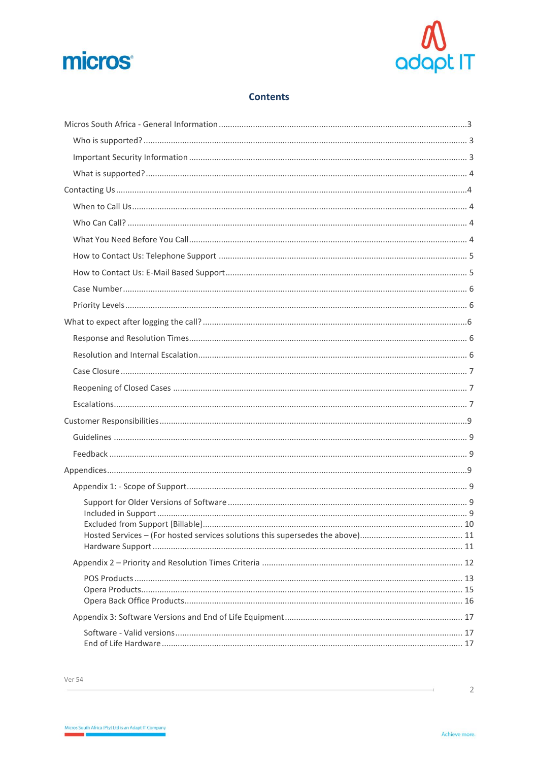



## **Contents**

 $\overline{2}$ 

 $\overline{\phantom{a}}$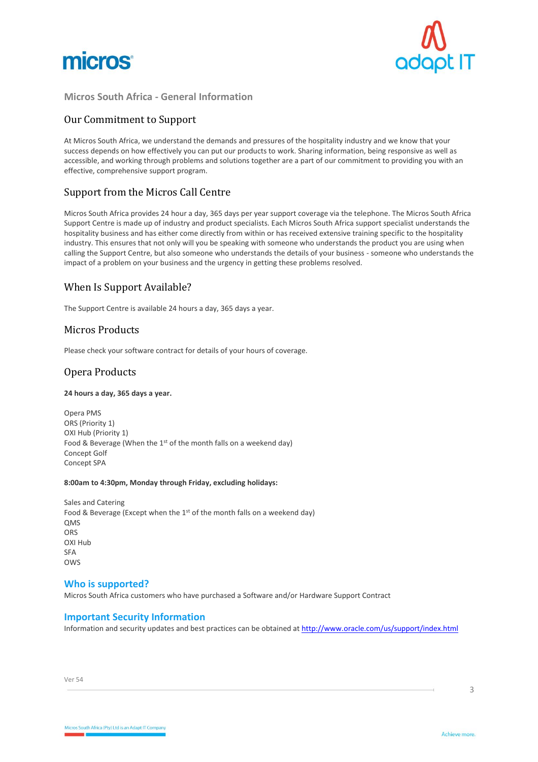



#### <span id="page-2-0"></span>**Micros South Africa - General Information**

## Our Commitment to Support

At Micros South Africa, we understand the demands and pressures of the hospitality industry and we know that your success depends on how effectively you can put our products to work. Sharing information, being responsive as well as accessible, and working through problems and solutions together are a part of our commitment to providing you with an effective, comprehensive support program.

### Support from the Micros Call Centre

Micros South Africa provides 24 hour a day, 365 days per year support coverage via the telephone. The Micros South Africa Support Centre is made up of industry and product specialists. Each Micros South Africa support specialist understands the hospitality business and has either come directly from within or has received extensive training specific to the hospitality industry. This ensures that not only will you be speaking with someone who understands the product you are using when calling the Support Centre, but also someone who understands the details of your business - someone who understands the impact of a problem on your business and the urgency in getting these problems resolved.

## When Is Support Available?

The Support Centre is available 24 hours a day, 365 days a year.

#### Micros Products

Please check your software contract for details of your hours of coverage.

### Opera Products

#### **24 hours a day, 365 days a year.**

Opera PMS ORS (Priority 1) OXI Hub (Priority 1) Food & Beverage (When the 1<sup>st</sup> of the month falls on a weekend day) Concept Golf Concept SPA

#### **8:00am to 4:30pm, Monday through Friday, excluding holidays:**

Sales and Catering Food & Beverage (Except when the 1st of the month falls on a weekend day) **OMS** ORS OXI Hub SFA OW<sub>S</sub>

#### <span id="page-2-1"></span>**Who is supported?**

Micros South Africa customers who have purchased a Software and/or Hardware Support Contract

#### <span id="page-2-2"></span>**Important Security Information**

Information and security updates and best practices can be obtained a[t http://www.oracle.com/us/support/index.html](http://www.oracle.com/us/support/index.html)

Ver 54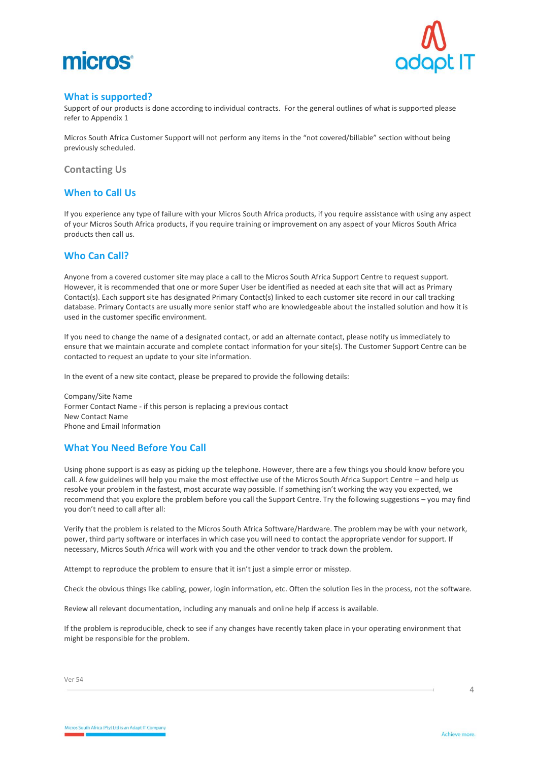



#### <span id="page-3-0"></span>**What is supported?**

Support of our products is done according to individual contracts. For the general outlines of what is supported please refer to Appendix 1

Micros South Africa Customer Support will not perform any items in the "not covered/billable" section without being previously scheduled.

<span id="page-3-1"></span>**Contacting Us**

### <span id="page-3-2"></span>**When to Call Us**

If you experience any type of failure with your Micros South Africa products, if you require assistance with using any aspect of your Micros South Africa products, if you require training or improvement on any aspect of your Micros South Africa products then call us.

#### <span id="page-3-3"></span>**Who Can Call?**

Anyone from a covered customer site may place a call to the Micros South Africa Support Centre to request support. However, it is recommended that one or more Super User be identified as needed at each site that will act as Primary Contact(s). Each support site has designated Primary Contact(s) linked to each customer site record in our call tracking database. Primary Contacts are usually more senior staff who are knowledgeable about the installed solution and how it is used in the customer specific environment.

If you need to change the name of a designated contact, or add an alternate contact, please notify us immediately to ensure that we maintain accurate and complete contact information for your site(s). The Customer Support Centre can be contacted to request an update to your site information.

In the event of a new site contact, please be prepared to provide the following details:

Company/Site Name Former Contact Name - if this person is replacing a previous contact New Contact Name Phone and Email Information

## <span id="page-3-4"></span>**What You Need Before You Call**

Using phone support is as easy as picking up the telephone. However, there are a few things you should know before you call. A few guidelines will help you make the most effective use of the Micros South Africa Support Centre – and help us resolve your problem in the fastest, most accurate way possible. If something isn't working the way you expected, we recommend that you explore the problem before you call the Support Centre. Try the following suggestions – you may find you don't need to call after all:

Verify that the problem is related to the Micros South Africa Software/Hardware. The problem may be with your network, power, third party software or interfaces in which case you will need to contact the appropriate vendor for support. If necessary, Micros South Africa will work with you and the other vendor to track down the problem.

Attempt to reproduce the problem to ensure that it isn't just a simple error or misstep.

Check the obvious things like cabling, power, login information, etc. Often the solution lies in the process, not the software.

Review all relevant documentation, including any manuals and online help if access is available.

If the problem is reproducible, check to see if any changes have recently taken place in your operating environment that might be responsible for the problem.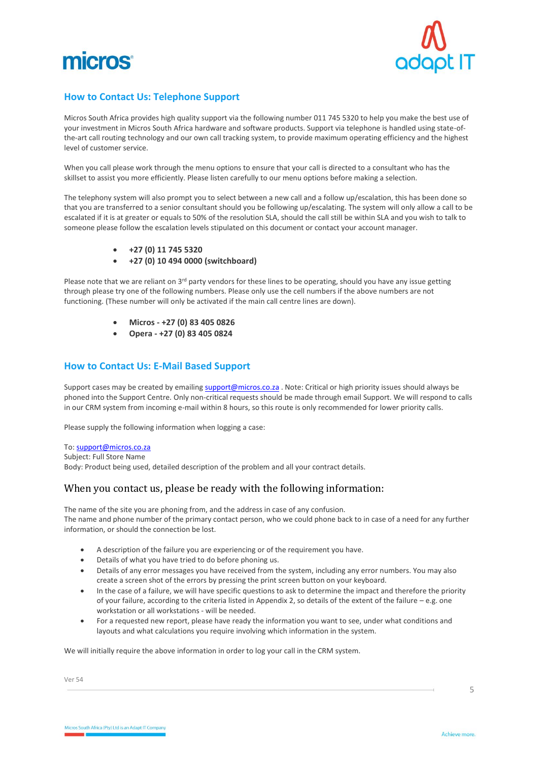



## <span id="page-4-0"></span>**How to Contact Us: Telephone Support**

Micros South Africa provides high quality support via the following number 011 745 5320 to help you make the best use of your investment in Micros South Africa hardware and software products. Support via telephone is handled using state-ofthe-art call routing technology and our own call tracking system, to provide maximum operating efficiency and the highest level of customer service.

When you call please work through the menu options to ensure that your call is directed to a consultant who has the skillset to assist you more efficiently. Please listen carefully to our menu options before making a selection.

The telephony system will also prompt you to select between a new call and a follow up/escalation, this has been done so that you are transferred to a senior consultant should you be following up/escalating. The system will only allow a call to be escalated if it is at greater or equals to 50% of the resolution SLA, should the call still be within SLA and you wish to talk to someone please follow the escalation levels stipulated on this document or contact your account manager.

- **+27 (0) 11 745 5320**
- **+27 (0) 10 494 0000 (switchboard)**

Please note that we are reliant on 3<sup>rd</sup> party vendors for these lines to be operating, should you have any issue getting through please try one of the following numbers. Please only use the cell numbers if the above numbers are not functioning. (These number will only be activated if the main call centre lines are down).

- **Micros - +27 (0) 83 405 0826**
- **Opera - +27 (0) 83 405 0824**

#### <span id="page-4-1"></span>**How to Contact Us: E-Mail Based Support**

Support cases may be created by emailin[g support@micros.co.za](mailto:support@micros.co.za). Note: Critical or high priority issues should always be phoned into the Support Centre. Only non-critical requests should be made through email Support. We will respond to calls in our CRM system from incoming e-mail within 8 hours, so this route is only recommended for lower priority calls.

Please supply the following information when logging a case:

#### To[: support@micros.co.za](mailto:support@micros.co.za)

Subject: Full Store Name

Body: Product being used, detailed description of the problem and all your contract details.

#### When you contact us, please be ready with the following information:

The name of the site you are phoning from, and the address in case of any confusion. The name and phone number of the primary contact person, who we could phone back to in case of a need for any further information, or should the connection be lost.

- A description of the failure you are experiencing or of the requirement you have.
- Details of what you have tried to do before phoning us.
- Details of any error messages you have received from the system, including any error numbers. You may also create a screen shot of the errors by pressing the print screen button on your keyboard.
- In the case of a failure, we will have specific questions to ask to determine the impact and therefore the priority of your failure, according to the criteria listed in Appendix 2, so details of the extent of the failure – e.g. one workstation or all workstations - will be needed.
- For a requested new report, please have ready the information you want to see, under what conditions and layouts and what calculations you require involving which information in the system.

We will initially require the above information in order to log your call in the CRM system.

Ver 54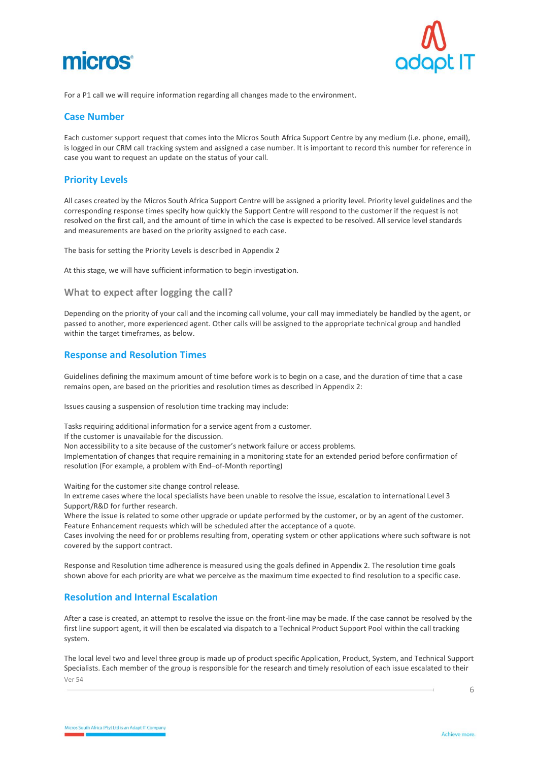# micros



For a P1 call we will require information regarding all changes made to the environment.

#### <span id="page-5-0"></span>**Case Number**

Each customer support request that comes into the Micros South Africa Support Centre by any medium (i.e. phone, email), is logged in our CRM call tracking system and assigned a case number. It is important to record this number for reference in case you want to request an update on the status of your call.

#### <span id="page-5-1"></span>**Priority Levels**

All cases created by the Micros South Africa Support Centre will be assigned a priority level. Priority level guidelines and the corresponding response times specify how quickly the Support Centre will respond to the customer if the request is not resolved on the first call, and the amount of time in which the case is expected to be resolved. All service level standards and measurements are based on the priority assigned to each case.

The basis for setting the Priority Levels is described in Appendix 2

At this stage, we will have sufficient information to begin investigation.

#### <span id="page-5-2"></span>**What to expect after logging the call?**

Depending on the priority of your call and the incoming call volume, your call may immediately be handled by the agent, or passed to another, more experienced agent. Other calls will be assigned to the appropriate technical group and handled within the target timeframes, as below.

#### <span id="page-5-3"></span>**Response and Resolution Times**

Guidelines defining the maximum amount of time before work is to begin on a case, and the duration of time that a case remains open, are based on the priorities and resolution times as described in Appendix 2:

Issues causing a suspension of resolution time tracking may include:

Tasks requiring additional information for a service agent from a customer. If the customer is unavailable for the discussion. Non accessibility to a site because of the customer's network failure or access problems. Implementation of changes that require remaining in a monitoring state for an extended period before confirmation of resolution (For example, a problem with End–of-Month reporting)

Waiting for the customer site change control release.

In extreme cases where the local specialists have been unable to resolve the issue, escalation to international Level 3 Support/R&D for further research.

Where the issue is related to some other upgrade or update performed by the customer, or by an agent of the customer. Feature Enhancement requests which will be scheduled after the acceptance of a quote.

Cases involving the need for or problems resulting from, operating system or other applications where such software is not covered by the support contract.

Response and Resolution time adherence is measured using the goals defined in Appendix 2. The resolution time goals shown above for each priority are what we perceive as the maximum time expected to find resolution to a specific case.

#### <span id="page-5-4"></span>**Resolution and Internal Escalation**

After a case is created, an attempt to resolve the issue on the front-line may be made. If the case cannot be resolved by the first line support agent, it will then be escalated via dispatch to a Technical Product Support Pool within the call tracking system.

Ver 54 The local level two and level three group is made up of product specific Application, Product, System, and Technical Support Specialists. Each member of the group is responsible for the research and timely resolution of each issue escalated to their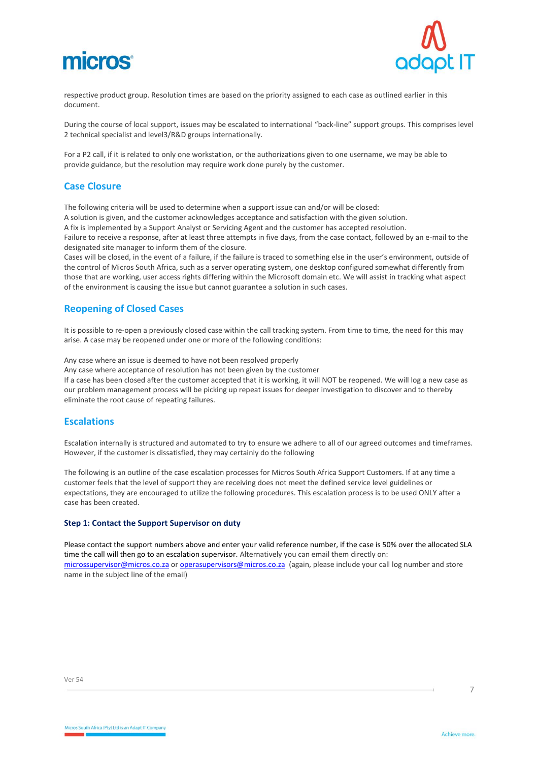



respective product group. Resolution times are based on the priority assigned to each case as outlined earlier in this document.

During the course of local support, issues may be escalated to international "back-line" support groups. This comprises level 2 technical specialist and level3/R&D groups internationally.

For a P2 call, if it is related to only one workstation, or the authorizations given to one username, we may be able to provide guidance, but the resolution may require work done purely by the customer.

#### <span id="page-6-0"></span>**Case Closure**

The following criteria will be used to determine when a support issue can and/or will be closed: A solution is given, and the customer acknowledges acceptance and satisfaction with the given solution. A fix is implemented by a Support Analyst or Servicing Agent and the customer has accepted resolution. Failure to receive a response, after at least three attempts in five days, from the case contact, followed by an e-mail to the designated site manager to inform them of the closure.

Cases will be closed, in the event of a failure, if the failure is traced to something else in the user's environment, outside of the control of Micros South Africa, such as a server operating system, one desktop configured somewhat differently from those that are working, user access rights differing within the Microsoft domain etc. We will assist in tracking what aspect of the environment is causing the issue but cannot guarantee a solution in such cases.

#### <span id="page-6-1"></span>**Reopening of Closed Cases**

It is possible to re-open a previously closed case within the call tracking system. From time to time, the need for this may arise. A case may be reopened under one or more of the following conditions:

Any case where an issue is deemed to have not been resolved properly

Any case where acceptance of resolution has not been given by the customer

If a case has been closed after the customer accepted that it is working, it will NOT be reopened. We will log a new case as our problem management process will be picking up repeat issues for deeper investigation to discover and to thereby eliminate the root cause of repeating failures.

#### <span id="page-6-2"></span>**Escalations**

Escalation internally is structured and automated to try to ensure we adhere to all of our agreed outcomes and timeframes. However, if the customer is dissatisfied, they may certainly do the following

The following is an outline of the case escalation processes for Micros South Africa Support Customers. If at any time a customer feels that the level of support they are receiving does not meet the defined service level guidelines or expectations, they are encouraged to utilize the following procedures. This escalation process is to be used ONLY after a case has been created.

#### **Step 1: Contact the Support Supervisor on duty**

Please contact the support numbers above and enter your valid reference number, if the case is 50% over the allocated SLA time the call will then go to an escalation supervisor. Alternatively you can email them directly on: [microssupervisor@micros.co.za](mailto:microssupervisor@micros.co.za) or [operasupervisors@micros.co.za](mailto:operasupervisors@micros.co.za) (again, please include your call log number and store name in the subject line of the email)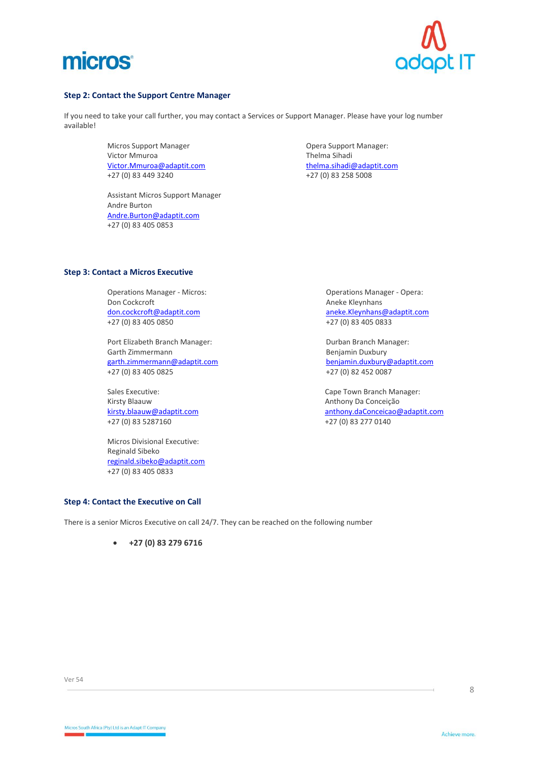



#### **Step 2: Contact the Support Centre Manager**

If you need to take your call further, you may contact a Services or Support Manager. Please have your log number available!

> Micros Support Manager **Communist Communist Communist Communist Communist Communist Communist Communist Communist Communist Communist Communist Communist Communist Communist Communist Communist Communist Communist Communis** Victor Mmuroa<br>
> Victor Mmuroa@adaptit.com<br>
> Victor Mmuroa@adaptit.com<br>
> Thelma sihadi@adaptit.com [Victor.Mmuroa@adaptit.com](mailto:Victor.Mmuroa@adaptit.com)<br>+27 (0) 83 449 3240

Assistant Micros Support Manager Andre Burton [Andre.Burton@adaptit.com](mailto:Andre.Burton@adaptit.com) +27 (0) 83 405 0853

+27 (0) 83 258 5008

#### **Step 3: Contact a Micros Executive**

Operations Manager - Micros: Communications Manager - Operations Manager - Opera:<br>
Don Cockcroft Communications Communications Aneke Kleynhans Don Cockcroft<br>
<u>don.cockcroft@adaptit.com</u><br>
aneke.Kleynhans +27 (0) 83 405 0850 +27 (0) 83 405 0833

Port Elizabeth Branch Manager: Durban Branch Manager: Durban Branch Manager: Garth Zimmermann ann an Eileanach ann an t-ann ann an Benjamin Duxbury<br>
San Benjamin Duxbury (Banjamin Duxbury Cadaptit.com ann an Eileanach ann an Eileanach ann an t-an an Eileanac [garth.zimmermann@adaptit.com](mailto:garth.zimmermann@adaptit.com)<br>+27 (0) 83 405 0825

Kirsty Blaauw **Anthony Da Conceição**<br>
kirsty.blaauw@adaptit.com **Anthony Da Conceição**<br>
Anthony.daConceicao@

Micros Divisional Executive: Reginald Sibeko [reginald.sibeko@adaptit.com](mailto:reginald.sibeko@adaptit.com) +27 (0) 83 405 0833

[aneke.Kleynhans@adaptit.com](mailto:aneke.Kleynhans@adaptit.com)

+27 (0) 82 452 0087

Sales Executive: Cape Town Branch Manager: Cape Town Branch Manager: Cape Town Branch Manager: Cape Town Branch Manager: [kirsty.blaauw@adaptit.com](mailto:kirsty.blaauw@adaptit.com) [anthony.daConceicao@adaptit.com](mailto:anthony.daConceicao@adaptit.com) anthony.daConceicao@adaptit.com +27 (0) 83 277 0140 +27 (0) 83 277 0140

#### **Step 4: Contact the Executive on Call**

There is a senior Micros Executive on call 24/7. They can be reached on the following number

• **+27 (0) 83 279 6716**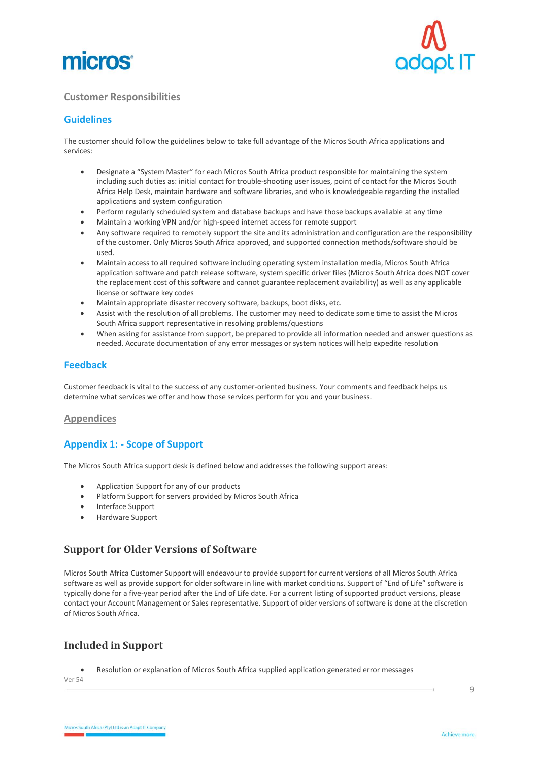



#### <span id="page-8-0"></span>**Customer Responsibilities**

## <span id="page-8-1"></span>**Guidelines**

The customer should follow the guidelines below to take full advantage of the Micros South Africa applications and services:

- Designate a "System Master" for each Micros South Africa product responsible for maintaining the system including such duties as: initial contact for trouble-shooting user issues, point of contact for the Micros South Africa Help Desk, maintain hardware and software libraries, and who is knowledgeable regarding the installed applications and system configuration
- Perform regularly scheduled system and database backups and have those backups available at any time
- Maintain a working VPN and/or high-speed internet access for remote support
- Any software required to remotely support the site and its administration and configuration are the responsibility of the customer. Only Micros South Africa approved, and supported connection methods/software should be used.
- Maintain access to all required software including operating system installation media, Micros South Africa application software and patch release software, system specific driver files (Micros South Africa does NOT cover the replacement cost of this software and cannot guarantee replacement availability) as well as any applicable license or software key codes
- Maintain appropriate disaster recovery software, backups, boot disks, etc.
- Assist with the resolution of all problems. The customer may need to dedicate some time to assist the Micros South Africa support representative in resolving problems/questions
- When asking for assistance from support, be prepared to provide all information needed and answer questions as needed. Accurate documentation of any error messages or system notices will help expedite resolution

#### <span id="page-8-2"></span>**Feedback**

Customer feedback is vital to the success of any customer-oriented business. Your comments and feedback helps us determine what services we offer and how those services perform for you and your business.

#### <span id="page-8-3"></span>**Appendices**

## <span id="page-8-4"></span>**Appendix 1: - Scope of Support**

The Micros South Africa support desk is defined below and addresses the following support areas:

- Application Support for any of our products
- Platform Support for servers provided by Micros South Africa
- Interface Support
- Hardware Support

## <span id="page-8-5"></span>**Support for Older Versions of Software**

Micros South Africa Customer Support will endeavour to provide support for current versions of all Micros South Africa software as well as provide support for older software in line with market conditions. Support of "End of Life" software is typically done for a five-year period after the End of Life date. For a current listing of supported product versions, please contact your Account Management or Sales representative. Support of older versions of software is done at the discretion of Micros South Africa.

## <span id="page-8-6"></span>**Included in Support**

• Resolution or explanation of Micros South Africa supplied application generated error messages

Ver 54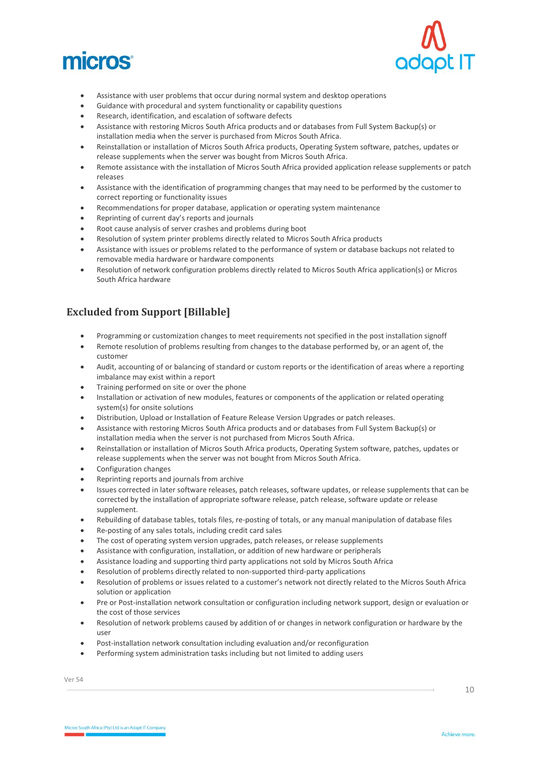



- Assistance with user problems that occur during normal system and desktop operations
- Guidance with procedural and system functionality or capability questions
- Research, identification, and escalation of software defects
- Assistance with restoring Micros South Africa products and or databases from Full System Backup(s) or installation media when the server is purchased from Micros South Africa.
- Reinstallation or installation of Micros South Africa products, Operating System software, patches, updates or release supplements when the server was bought from Micros South Africa.
- Remote assistance with the installation of Micros South Africa provided application release supplements or patch releases
- Assistance with the identification of programming changes that may need to be performed by the customer to correct reporting or functionality issues
- Recommendations for proper database, application or operating system maintenance
- Reprinting of current day's reports and journals
- Root cause analysis of server crashes and problems during boot
- Resolution of system printer problems directly related to Micros South Africa products
- Assistance with issues or problems related to the performance of system or database backups not related to removable media hardware or hardware components
- Resolution of network configuration problems directly related to Micros South Africa application(s) or Micros South Africa hardware

# <span id="page-9-0"></span>**Excluded from Support [Billable]**

- Programming or customization changes to meet requirements not specified in the post installation signoff
- Remote resolution of problems resulting from changes to the database performed by, or an agent of, the customer
- Audit, accounting of or balancing of standard or custom reports or the identification of areas where a reporting imbalance may exist within a report
- Training performed on site or over the phone
- Installation or activation of new modules, features or components of the application or related operating system(s) for onsite solutions
- Distribution, Upload or Installation of Feature Release Version Upgrades or patch releases.
- Assistance with restoring Micros South Africa products and or databases from Full System Backup(s) or installation media when the server is not purchased from Micros South Africa.
- Reinstallation or installation of Micros South Africa products, Operating System software, patches, updates or release supplements when the server was not bought from Micros South Africa.
- Configuration changes
- Reprinting reports and journals from archive
- Issues corrected in later software releases, patch releases, software updates, or release supplements that can be corrected by the installation of appropriate software release, patch release, software update or release supplement.
- Rebuilding of database tables, totals files, re-posting of totals, or any manual manipulation of database files
- Re-posting of any sales totals, including credit card sales
- The cost of operating system version upgrades, patch releases, or release supplements
- Assistance with configuration, installation, or addition of new hardware or peripherals
- Assistance loading and supporting third party applications not sold by Micros South Africa
- Resolution of problems directly related to non-supported third-party applications
- Resolution of problems or issues related to a customer's network not directly related to the Micros South Africa solution or application
- Pre or Post-installation network consultation or configuration including network support, design or evaluation or the cost of those services
- Resolution of network problems caused by addition of or changes in network configuration or hardware by the user
- Post-installation network consultation including evaluation and/or reconfiguration
- Performing system administration tasks including but not limited to adding users

Ver 54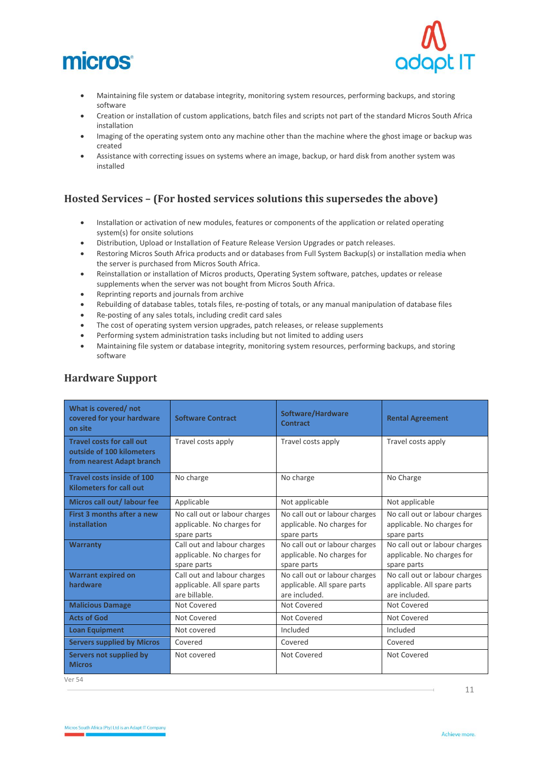



- Maintaining file system or database integrity, monitoring system resources, performing backups, and storing software
- Creation or installation of custom applications, batch files and scripts not part of the standard Micros South Africa installation
- Imaging of the operating system onto any machine other than the machine where the ghost image or backup was created
- Assistance with correcting issues on systems where an image, backup, or hard disk from another system was installed

# <span id="page-10-0"></span>**Hosted Services – (For hosted services solutions this supersedes the above)**

- Installation or activation of new modules, features or components of the application or related operating system(s) for onsite solutions
- Distribution, Upload or Installation of Feature Release Version Upgrades or patch releases.
- Restoring Micros South Africa products and or databases from Full System Backup(s) or installation media when the server is purchased from Micros South Africa.
- Reinstallation or installation of Micros products, Operating System software, patches, updates or release supplements when the server was not bought from Micros South Africa.
- Reprinting reports and journals from archive
- Rebuilding of database tables, totals files, re-posting of totals, or any manual manipulation of database files
- Re-posting of any sales totals, including credit card sales
- The cost of operating system version upgrades, patch releases, or release supplements
- Performing system administration tasks including but not limited to adding users
- Maintaining file system or database integrity, monitoring system resources, performing backups, and storing software

| What is covered/not<br>covered for your hardware<br>on site                                | <b>Software Contract</b>                                                    | Software/Hardware<br><b>Contract</b>                                          | <b>Rental Agreement</b>                                                       |
|--------------------------------------------------------------------------------------------|-----------------------------------------------------------------------------|-------------------------------------------------------------------------------|-------------------------------------------------------------------------------|
| <b>Travel costs for call out</b><br>outside of 100 kilometers<br>from nearest Adapt branch | Travel costs apply                                                          | Travel costs apply                                                            | Travel costs apply                                                            |
| <b>Travel costs inside of 100</b><br><b>Kilometers for call out</b>                        | No charge                                                                   | No charge                                                                     | No Charge                                                                     |
| Micros call out/ labour fee                                                                | Applicable                                                                  | Not applicable                                                                | Not applicable                                                                |
| First 3 months after a new<br>installation                                                 | No call out or labour charges<br>applicable. No charges for<br>spare parts  | No call out or labour charges<br>applicable. No charges for<br>spare parts    | No call out or labour charges<br>applicable. No charges for<br>spare parts    |
| <b>Warranty</b>                                                                            | Call out and labour charges<br>applicable. No charges for<br>spare parts    | No call out or labour charges<br>applicable. No charges for<br>spare parts    | No call out or labour charges<br>applicable. No charges for<br>spare parts    |
| <b>Warrant expired on</b><br>hardware                                                      | Call out and labour charges<br>applicable. All spare parts<br>are billable. | No call out or labour charges<br>applicable. All spare parts<br>are included. | No call out or labour charges<br>applicable. All spare parts<br>are included. |
| <b>Malicious Damage</b>                                                                    | Not Covered                                                                 | Not Covered                                                                   | Not Covered                                                                   |
| <b>Acts of God</b>                                                                         | Not Covered                                                                 | Not Covered                                                                   | Not Covered                                                                   |
| <b>Loan Equipment</b>                                                                      | Not covered                                                                 | Included                                                                      | Included                                                                      |
| <b>Servers supplied by Micros</b>                                                          | Covered                                                                     | Covered                                                                       | Covered                                                                       |
| Servers not supplied by<br><b>Micros</b>                                                   | Not covered                                                                 | Not Covered                                                                   | Not Covered                                                                   |

## <span id="page-10-1"></span>**Hardware Support**

Ver 54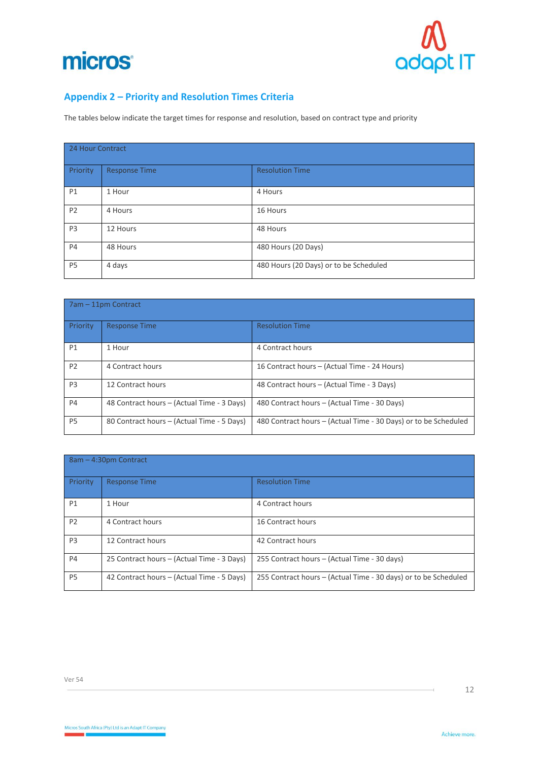



# <span id="page-11-0"></span>**Appendix 2 – Priority and Resolution Times Criteria**

The tables below indicate the target times for response and resolution, based on contract type and priority

| 24 Hour Contract |                      |                                        |
|------------------|----------------------|----------------------------------------|
| Priority         | <b>Response Time</b> | <b>Resolution Time</b>                 |
| P1               | 1 Hour               | 4 Hours                                |
| P <sub>2</sub>   | 4 Hours              | 16 Hours                               |
| P <sub>3</sub>   | 12 Hours             | 48 Hours                               |
| <b>P4</b>        | 48 Hours             | 480 Hours (20 Days)                    |
| P <sub>5</sub>   | 4 days               | 480 Hours (20 Days) or to be Scheduled |

| 7am – 11pm Contract |                                            |                                                                 |  |
|---------------------|--------------------------------------------|-----------------------------------------------------------------|--|
| Priority            | <b>Response Time</b>                       | <b>Resolution Time</b>                                          |  |
| P1                  | 1 Hour                                     | 4 Contract hours                                                |  |
| P <sub>2</sub>      | 4 Contract hours                           | 16 Contract hours – (Actual Time - 24 Hours)                    |  |
| P <sub>3</sub>      | 12 Contract hours                          | 48 Contract hours – (Actual Time - 3 Days)                      |  |
| <b>P4</b>           | 48 Contract hours - (Actual Time - 3 Days) | 480 Contract hours – (Actual Time - 30 Days)                    |  |
| P <sub>5</sub>      | 80 Contract hours – (Actual Time - 5 Days) | 480 Contract hours – (Actual Time - 30 Days) or to be Scheduled |  |

| 8am - 4:30pm Contract |                                            |                                                                 |  |
|-----------------------|--------------------------------------------|-----------------------------------------------------------------|--|
| Priority              | <b>Response Time</b>                       | <b>Resolution Time</b>                                          |  |
| P1                    | 1 Hour                                     | 4 Contract hours                                                |  |
| P <sub>2</sub>        | 4 Contract hours                           | 16 Contract hours                                               |  |
| P <sub>3</sub>        | 12 Contract hours                          | 42 Contract hours                                               |  |
| <b>P4</b>             | 25 Contract hours – (Actual Time - 3 Days) | 255 Contract hours – (Actual Time - 30 days)                    |  |
| P <sub>5</sub>        | 42 Contract hours - (Actual Time - 5 Days) | 255 Contract hours – (Actual Time - 30 days) or to be Scheduled |  |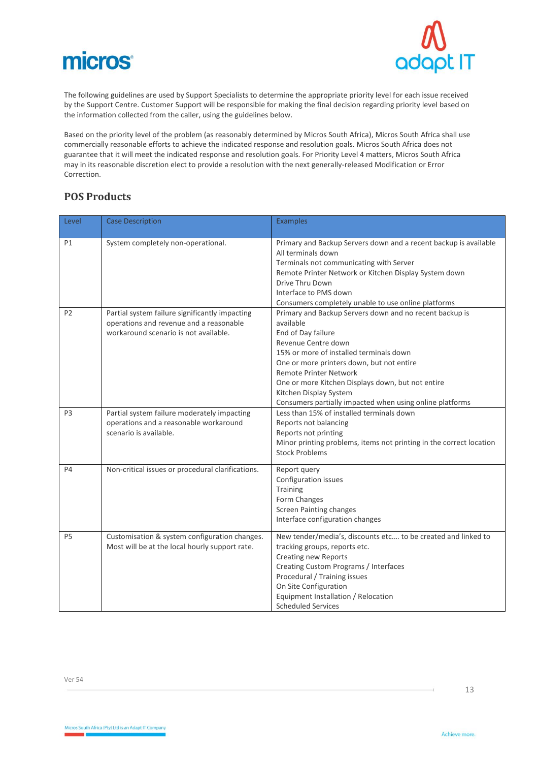



The following guidelines are used by Support Specialists to determine the appropriate priority level for each issue received by the Support Centre. Customer Support will be responsible for making the final decision regarding priority level based on the information collected from the caller, using the guidelines below.

Based on the priority level of the problem (as reasonably determined by Micros South Africa), Micros South Africa shall use commercially reasonable efforts to achieve the indicated response and resolution goals. Micros South Africa does not guarantee that it will meet the indicated response and resolution goals. For Priority Level 4 matters, Micros South Africa may in its reasonable discretion elect to provide a resolution with the next generally-released Modification or Error Correction.

## <span id="page-12-0"></span>**POS Products**

| Level          | <b>Case Description</b>                                                                                                            | <b>Examples</b>                                                                                                                                                                                                                                                                                                                                                                       |
|----------------|------------------------------------------------------------------------------------------------------------------------------------|---------------------------------------------------------------------------------------------------------------------------------------------------------------------------------------------------------------------------------------------------------------------------------------------------------------------------------------------------------------------------------------|
| P1             | System completely non-operational.                                                                                                 | Primary and Backup Servers down and a recent backup is available<br>All terminals down<br>Terminals not communicating with Server<br>Remote Printer Network or Kitchen Display System down<br>Drive Thru Down<br>Interface to PMS down<br>Consumers completely unable to use online platforms                                                                                         |
| P <sub>2</sub> | Partial system failure significantly impacting<br>operations and revenue and a reasonable<br>workaround scenario is not available. | Primary and Backup Servers down and no recent backup is<br>available<br>End of Day failure<br>Revenue Centre down<br>15% or more of installed terminals down<br>One or more printers down, but not entire<br><b>Remote Printer Network</b><br>One or more Kitchen Displays down, but not entire<br>Kitchen Display System<br>Consumers partially impacted when using online platforms |
| P <sub>3</sub> | Partial system failure moderately impacting<br>operations and a reasonable workaround<br>scenario is available.                    | Less than 15% of installed terminals down<br>Reports not balancing<br>Reports not printing<br>Minor printing problems, items not printing in the correct location<br><b>Stock Problems</b>                                                                                                                                                                                            |
| <b>P4</b>      | Non-critical issues or procedural clarifications.                                                                                  | Report query<br>Configuration issues<br>Training<br>Form Changes<br><b>Screen Painting changes</b><br>Interface configuration changes                                                                                                                                                                                                                                                 |
| P <sub>5</sub> | Customisation & system configuration changes.<br>Most will be at the local hourly support rate.                                    | New tender/media's, discounts etc to be created and linked to<br>tracking groups, reports etc.<br><b>Creating new Reports</b><br>Creating Custom Programs / Interfaces<br>Procedural / Training issues<br>On Site Configuration<br>Equipment Installation / Relocation<br><b>Scheduled Services</b>                                                                                   |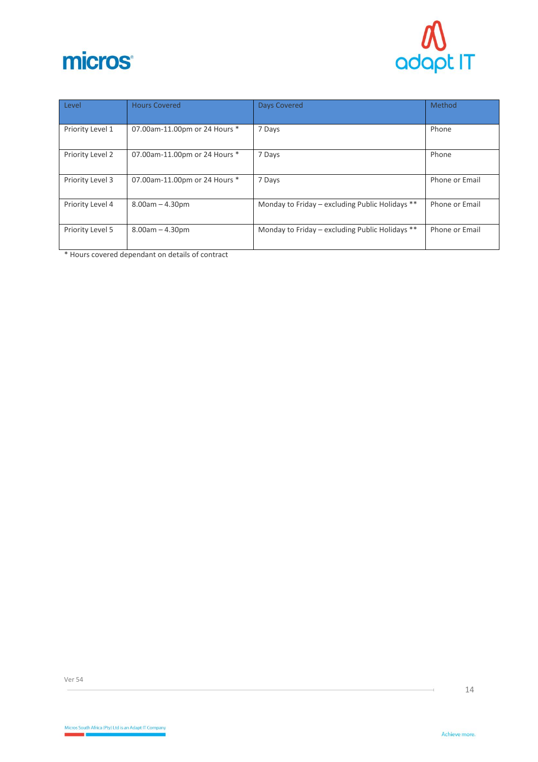



| Level            | <b>Hours Covered</b>          | <b>Days Covered</b>                             | Method         |
|------------------|-------------------------------|-------------------------------------------------|----------------|
| Priority Level 1 | 07.00am-11.00pm or 24 Hours * | 7 Days                                          | Phone          |
| Priority Level 2 | 07.00am-11.00pm or 24 Hours * | 7 Days                                          | Phone          |
| Priority Level 3 | 07.00am-11.00pm or 24 Hours * | 7 Days                                          | Phone or Email |
| Priority Level 4 | $8.00am - 4.30pm$             | Monday to Friday - excluding Public Holidays ** | Phone or Email |
| Priority Level 5 | $8.00am - 4.30pm$             | Monday to Friday - excluding Public Holidays ** | Phone or Email |

\* Hours covered dependant on details of contract

Ver 54

Ĥ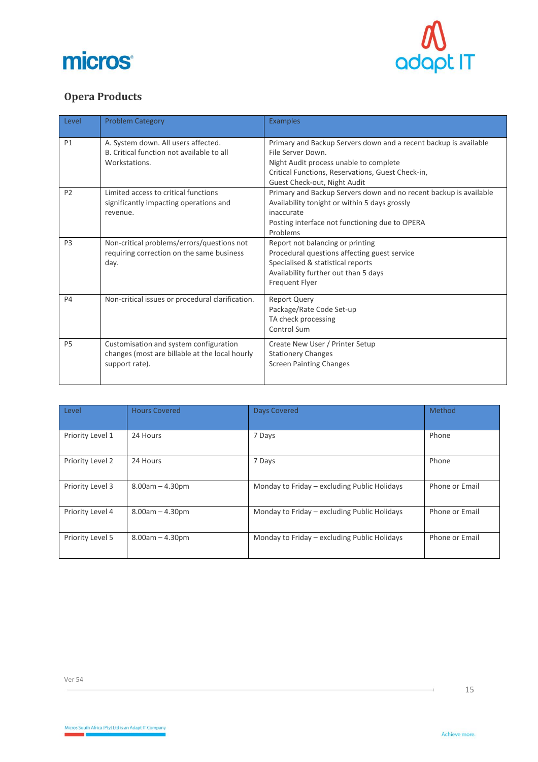



# <span id="page-14-0"></span>**Opera Products**

| Level          | <b>Problem Category</b>                                                                                    | <b>Examples</b>                                                                                                                                                                                                      |
|----------------|------------------------------------------------------------------------------------------------------------|----------------------------------------------------------------------------------------------------------------------------------------------------------------------------------------------------------------------|
| P1             | A. System down. All users affected.<br>B. Critical function not available to all<br>Workstations.          | Primary and Backup Servers down and a recent backup is available<br>File Server Down.<br>Night Audit process unable to complete<br>Critical Functions, Reservations, Guest Check-in,<br>Guest Check-out, Night Audit |
| P <sub>2</sub> | Limited access to critical functions<br>significantly impacting operations and<br>revenue.                 | Primary and Backup Servers down and no recent backup is available<br>Availability tonight or within 5 days grossly<br>inaccurate<br>Posting interface not functioning due to OPERA<br>Problems                       |
| P <sub>3</sub> | Non-critical problems/errors/questions not<br>requiring correction on the same business<br>day.            | Report not balancing or printing<br>Procedural questions affecting guest service<br>Specialised & statistical reports<br>Availability further out than 5 days<br>Frequent Flyer                                      |
| <b>P4</b>      | Non-critical issues or procedural clarification.                                                           | <b>Report Query</b><br>Package/Rate Code Set-up<br>TA check processing<br>Control Sum                                                                                                                                |
| P <sub>5</sub> | Customisation and system configuration<br>changes (most are billable at the local hourly<br>support rate). | Create New User / Printer Setup<br><b>Stationery Changes</b><br><b>Screen Painting Changes</b>                                                                                                                       |

| Level            | <b>Hours Covered</b> | <b>Days Covered</b>                          | Method         |
|------------------|----------------------|----------------------------------------------|----------------|
| Priority Level 1 | 24 Hours             | 7 Days                                       | Phone          |
| Priority Level 2 | 24 Hours             | 7 Days                                       | Phone          |
| Priority Level 3 | $8.00am - 4.30pm$    | Monday to Friday - excluding Public Holidays | Phone or Email |
| Priority Level 4 | $8.00am - 4.30pm$    | Monday to Friday – excluding Public Holidays | Phone or Email |
| Priority Level 5 | $8.00am - 4.30pm$    | Monday to Friday – excluding Public Holidays | Phone or Email |

Ĥ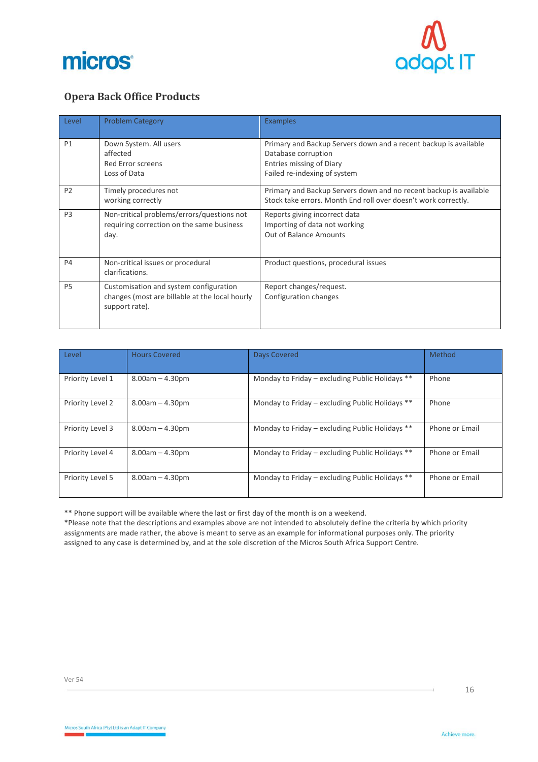



# <span id="page-15-0"></span>**Opera Back Office Products**

| Level          | <b>Problem Category</b>                                                                                    | <b>Examples</b>                                                                                                                                            |
|----------------|------------------------------------------------------------------------------------------------------------|------------------------------------------------------------------------------------------------------------------------------------------------------------|
| P1             | Down System. All users<br>affected<br><b>Red Error screens</b><br>Loss of Data                             | Primary and Backup Servers down and a recent backup is available<br>Database corruption<br><b>Entries missing of Diary</b><br>Failed re-indexing of system |
| P <sub>2</sub> | Timely procedures not<br>working correctly                                                                 | Primary and Backup Servers down and no recent backup is available<br>Stock take errors. Month End roll over doesn't work correctly.                        |
| P <sub>3</sub> | Non-critical problems/errors/questions not<br>requiring correction on the same business<br>day.            | Reports giving incorrect data<br>Importing of data not working<br>Out of Balance Amounts                                                                   |
| <b>P4</b>      | Non-critical issues or procedural<br>clarifications.                                                       | Product questions, procedural issues                                                                                                                       |
| P <sub>5</sub> | Customisation and system configuration<br>changes (most are billable at the local hourly<br>support rate). | Report changes/request.<br>Configuration changes                                                                                                           |

| Level            | <b>Hours Covered</b> | <b>Days Covered</b>                             | Method         |
|------------------|----------------------|-------------------------------------------------|----------------|
| Priority Level 1 | $8.00am - 4.30pm$    | Monday to Friday - excluding Public Holidays ** | Phone          |
| Priority Level 2 | $8.00am - 4.30pm$    | Monday to Friday – excluding Public Holidays ** | Phone          |
| Priority Level 3 | $8.00am - 4.30pm$    | Monday to Friday - excluding Public Holidays ** | Phone or Email |
| Priority Level 4 | $8.00am - 4.30pm$    | Monday to Friday - excluding Public Holidays ** | Phone or Email |
| Priority Level 5 | $8.00am - 4.30pm$    | Monday to Friday - excluding Public Holidays ** | Phone or Email |

\*\* Phone support will be available where the last or first day of the month is on a weekend.

\*Please note that the descriptions and examples above are not intended to absolutely define the criteria by which priority assignments are made rather, the above is meant to serve as an example for informational purposes only. The priority assigned to any case is determined by, and at the sole discretion of the Micros South Africa Support Centre.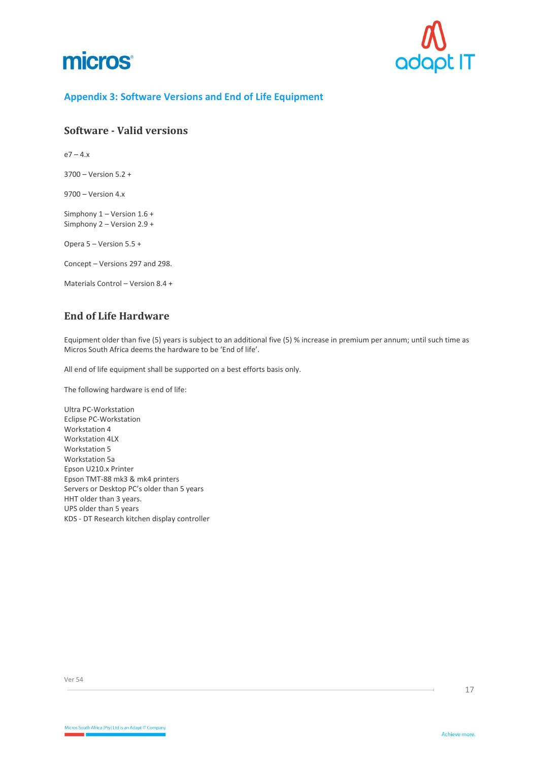



#### <span id="page-16-0"></span>**Appendix 3: Software Versions and End of Life Equipment**

### <span id="page-16-1"></span>**Software - Valid versions**

 $e7 - 4.x$ 

3700 – Version 5.2 +

9700 – Version 4.x

Simphony 1 – Version 1.6 + Simphony 2 – Version 2.9 +

Opera 5 – Version 5.5 +

Concept – Versions 297 and 298.

Materials Control – Version 8.4 +

## <span id="page-16-2"></span>**End of Life Hardware**

Equipment older than five (5) years is subject to an additional five (5) % increase in premium per annum; until such time as Micros South Africa deems the hardware to be 'End of life'.

All end of life equipment shall be supported on a best efforts basis only.

The following hardware is end of life:

Ultra PC-Workstation Eclipse PC-Workstation Workstation 4 Workstation 4LX Workstation 5 Workstation 5a Epson U210.x Printer Epson TMT-88 mk3 & mk4 printers Servers or Desktop PC's older than 5 years HHT older than 3 years. UPS older than 5 years KDS - DT Research kitchen display controller